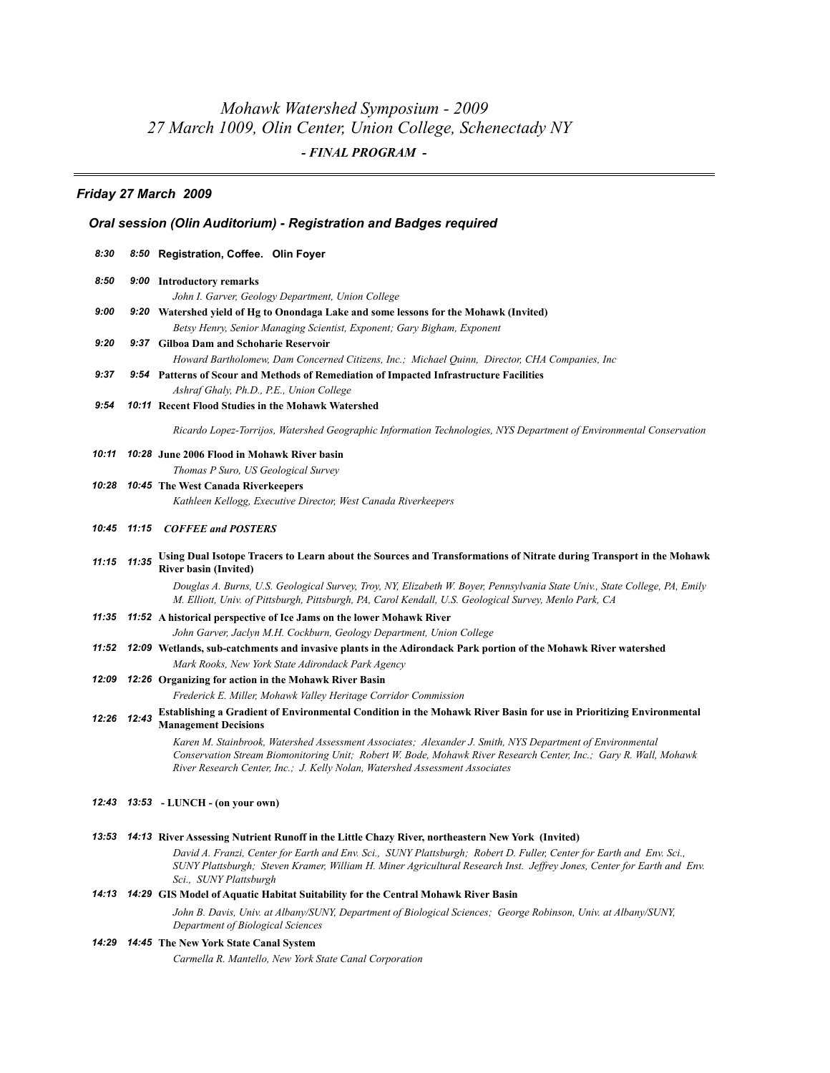# *Mohawk Watershed Symposium - 2009 27 March 1009, Olin Center, Union College, Schenectady NY - FINAL PROGRAM -*

## *Friday 27 March 2009*

## *Oral session (Olin Auditorium) - Registration and Badges required*

| 8:30        | 8:50 Registration, Coffee. Olin Foyer                                                                                                                                                                                                                                                                         |
|-------------|---------------------------------------------------------------------------------------------------------------------------------------------------------------------------------------------------------------------------------------------------------------------------------------------------------------|
| 8:50        | 9:00 Introductory remarks<br>John I. Garver, Geology Department, Union College                                                                                                                                                                                                                                |
| 9:00        | 9:20 Watershed yield of Hg to Onondaga Lake and some lessons for the Mohawk (Invited)                                                                                                                                                                                                                         |
|             | Betsy Henry, Senior Managing Scientist, Exponent; Gary Bigham, Exponent                                                                                                                                                                                                                                       |
| 9:20        | 9:37 Gilboa Dam and Schoharie Reservoir                                                                                                                                                                                                                                                                       |
|             | Howard Bartholomew, Dam Concerned Citizens, Inc.; Michael Quinn, Director, CHA Companies, Inc                                                                                                                                                                                                                 |
| 9:37        | 9:54 Patterns of Scour and Methods of Remediation of Impacted Infrastructure Facilities                                                                                                                                                                                                                       |
|             | Ashraf Ghaly, Ph.D., P.E., Union College                                                                                                                                                                                                                                                                      |
| 9:54        | 10:11 Recent Flood Studies in the Mohawk Watershed                                                                                                                                                                                                                                                            |
|             | Ricardo Lopez-Torrijos, Watershed Geographic Information Technologies, NYS Department of Environmental Conservation                                                                                                                                                                                           |
| 10:11       | 10:28 June 2006 Flood in Mohawk River basin                                                                                                                                                                                                                                                                   |
|             | Thomas P Suro, US Geological Survey                                                                                                                                                                                                                                                                           |
| 10:28       | 10:45 The West Canada Riverkeepers                                                                                                                                                                                                                                                                            |
|             | Kathleen Kellogg, Executive Director, West Canada Riverkeepers                                                                                                                                                                                                                                                |
| 10:45       | 11:15 COFFEE and POSTERS                                                                                                                                                                                                                                                                                      |
|             | 11:15 11:35 Using Dual Isotope Tracers to Learn about the Sources and Transformations of Nitrate during Transport in the Mohawk<br><b>River basin (Invited)</b>                                                                                                                                               |
|             | Douglas A. Burns, U.S. Geological Survey, Troy, NY, Elizabeth W. Boyer, Pennsylvania State Univ., State College, PA, Emily<br>M. Elliott, Univ. of Pittsburgh, Pittsburgh, PA, Carol Kendall, U.S. Geological Survey, Menlo Park, CA                                                                          |
| 11:35       | 11:52 A historical perspective of Ice Jams on the lower Mohawk River                                                                                                                                                                                                                                          |
|             | John Garver, Jaclyn M.H. Cockburn, Geology Department, Union College                                                                                                                                                                                                                                          |
| 11:52       | 12:09 Wetlands, sub-catchments and invasive plants in the Adirondack Park portion of the Mohawk River watershed                                                                                                                                                                                               |
|             | Mark Rooks, New York State Adirondack Park Agency                                                                                                                                                                                                                                                             |
| 12:09       | 12:26 Organizing for action in the Mohawk River Basin<br>Frederick E. Miller, Mohawk Valley Heritage Corridor Commission                                                                                                                                                                                      |
|             | Establishing a Gradient of Environmental Condition in the Mohawk River Basin for use in Prioritizing Environmental                                                                                                                                                                                            |
| 12:26 12:43 | <b>Management Decisions</b>                                                                                                                                                                                                                                                                                   |
|             | Karen M. Stainbrook, Watershed Assessment Associates; Alexander J. Smith, NYS Department of Environmental<br>Conservation Stream Biomonitoring Unit; Robert W. Bode, Mohawk River Research Center, Inc.; Gary R. Wall, Mohawk<br>River Research Center, Inc.; J. Kelly Nolan, Watershed Assessment Associates |
|             | 12:43 13:53 - LUNCH - (on your own)                                                                                                                                                                                                                                                                           |
|             | 13:53 14:13 River Assessing Nutrient Runoff in the Little Chazy River, northeastern New York (Invited)                                                                                                                                                                                                        |
|             | David A. Franzi, Center for Earth and Env. Sci., SUNY Plattsburgh; Robert D. Fuller, Center for Earth and Env. Sci.,<br>SUNY Plattsburgh; Steven Kramer, William H. Miner Agricultural Research Inst. Jeffrey Jones, Center for Earth and Env.<br>Sci., SUNY Plattsburgh                                      |
|             | 14:13 14:29 GIS Model of Aquatic Habitat Suitability for the Central Mohawk River Basin                                                                                                                                                                                                                       |
|             | John B. Davis, Univ. at Albany/SUNY, Department of Biological Sciences; George Robinson, Univ. at Albany/SUNY,<br>Department of Biological Sciences                                                                                                                                                           |
| 14:29       | <b>14:45</b> The New York State Canal System                                                                                                                                                                                                                                                                  |
|             | Carmella R. Mantello, New York State Canal Corporation                                                                                                                                                                                                                                                        |